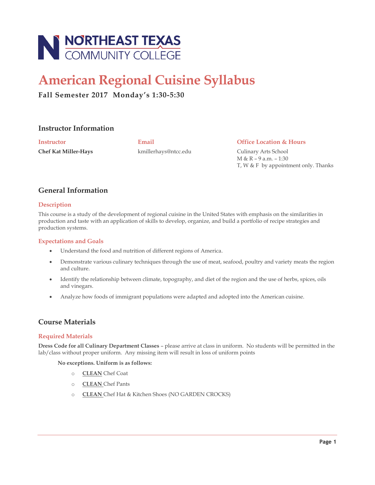

# **American Regional Cuisine Syllabus**

# **Fall Semester 2017 Monday's 1:30-5:30**

## **Instructor Information**

**Chef Kat Miller-Hays** kmillerhays@ntcc.edu Culinary Arts School

**Instructor Email Office Location & Hours**

M & R – 9 a.m. – 1:30 T, W & F by appointment only. Thanks

# **General Information**

## **Description**

This course is a study of the development of regional cuisine in the United States with emphasis on the similarities in production and taste with an application of skills to develop, organize, and build a portfolio of recipe strategies and production systems.

## **Expectations and Goals**

- Understand the food and nutrition of different regions of America.
- Demonstrate various culinary techniques through the use of meat, seafood, poultry and variety meats the region and culture.
- Identify the relationship between climate, topography, and diet of the region and the use of herbs, spices, oils and vinegars.
- Analyze how foods of immigrant populations were adapted and adopted into the American cuisine.

# **Course Materials**

## **Required Materials**

**Dress Code for all Culinary Department Classes** – please arrive at class in uniform. No students will be permitted in the lab/class without proper uniform. Any missing item will result in loss of uniform points

**No exceptions. Uniform is as follows:**

- o **CLEAN** Chef Coat
- o **CLEAN** Chef Pants
- o **CLEAN** Chef Hat & Kitchen Shoes (NO GARDEN CROCKS)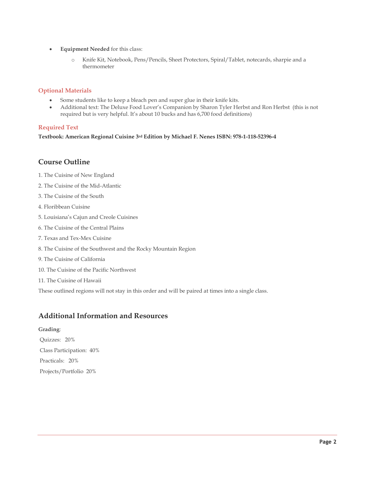- **Equipment Needed** for this class:
	- o Knife Kit, Notebook, Pens/Pencils, Sheet Protectors, Spiral/Tablet, notecards, sharpie and a thermometer

#### **Optional Materials**

- Some students like to keep a bleach pen and super glue in their knife kits.
- Additional text: The Deluxe Food Lover's Companion by Sharon Tyler Herbst and Ron Herbst (this is not required but is very helpful. It's about 10 bucks and has 6,700 food definitions)

## **Required Text**

**Textbook: American Regional Cuisine 3rd Edition by Michael F. Nenes ISBN: 978-1-118-52396-4**

## **Course Outline**

- 1. The Cuisine of New England
- 2. The Cuisine of the Mid-Atlantic
- 3. The Cuisine of the South
- 4. Floribbean Cuisine
- 5. Louisiana's Cajun and Creole Cuisines
- 6. The Cuisine of the Central Plains
- 7. Texas and Tex-Mex Cuisine
- 8. The Cuisine of the Southwest and the Rocky Mountain Region
- 9. The Cuisine of California
- 10. The Cuisine of the Pacific Northwest
- 11. The Cuisine of Hawaii

These outlined regions will not stay in this order and will be paired at times into a single class.

# **Additional Information and Resources**

**Grading**: Quizzes: 20% Class Participation: 40% Practicals: 20% Projects/Portfolio 20%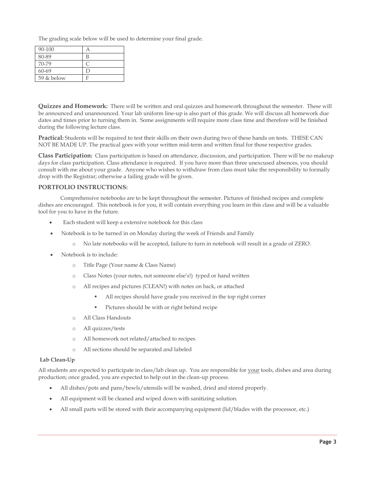The grading scale below will be used to determine your final grade.

| 90-100     |   |
|------------|---|
| 80-89      | В |
| 70-79      |   |
| 60-69      | г |
| 59 & below |   |

**Quizzes and Homework:** There will be written and oral quizzes and homework throughout the semester. These will be announced and unannounced. Your lab uniform line-up is also part of this grade. We will discuss all homework due dates and times prior to turning them in. Some assignments will require more class time and therefore will be finished during the following lecture class.

**Practical:** Students will be required to test their skills on their own during two of these hands on tests. THESE CAN NOT BE MADE UP. The practical goes with your written mid-term and written final for those respective grades.

**Class Participation:** Class participation is based on attendance, discussion, and participation. There will be no makeup days for class participation. Class attendance is required. If you have more than three unexcused absences, you should consult with me about your grade. Anyone who wishes to withdraw from class must take the responsibility to formally drop with the Registrar; otherwise a failing grade will be given.

## **PORTFOLIO INSTRUCTIONS:**

Comprehensive notebooks are to be kept throughout the semester. Pictures of finished recipes and complete dishes are encouraged. This notebook is for you, it will contain everything you learn in this class and will be a valuable tool for you to have in the future.

- Each student will keep a extensive notebook for this class
- Notebook is to be turned in on Monday during the week of Friends and Family
	- No late notebooks will be accepted, failure to turn in notebook will result in a grade of ZERO.
- Notebook is to include:
	- o Title Page (Your name & Class Name)
	- o Class Notes (your notes, not someone else's!) typed or hand written
	- o All recipes and pictures (CLEAN!) with notes on back, or attached
		- All recipes should have grade you received in the top right corner
		- Pictures should be with or right behind recipe
	- o All Class Handouts
	- o All quizzes/tests
	- o All homework not related/attached to recipes
	- o All sections should be separated and labeled

#### **Lab Clean-Up**

All students are expected to participate in class/lab clean up. You are responsible for your tools, dishes and area during production; once graded, you are expected to help out in the clean-up process.

- All dishes/pots and pans/bowls/utensils will be washed, dried and stored properly.
- All equipment will be cleaned and wiped down with sanitizing solution.
- All small parts will be stored with their accompanying equipment (lid/blades with the processor, etc.)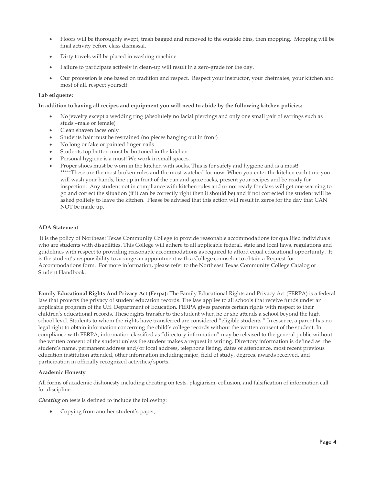- Floors will be thoroughly swept, trash bagged and removed to the outside bins, then mopping. Mopping will be final activity before class dismissal.
- Dirty towels will be placed in washing machine
- Failure to participate actively in clean-up will result in a zero-grade for the day.
- Our profession is one based on tradition and respect. Respect your instructor, your chefmates, your kitchen and most of all, respect yourself.

#### **Lab etiquette:**

#### **In addition to having all recipes and equipment you will need to abide by the following kitchen policies:**

- No jewelry except a wedding ring (absolutely no facial piercings and only one small pair of earrings such as studs –male or female)
- Clean shaven faces only
- Students hair must be restrained (no pieces hanging out in front)
- No long or fake or painted finger nails
- Students top button must be buttoned in the kitchen
- Personal hygiene is a must! We work in small spaces.
- Proper shoes must be worn in the kitchen with socks. This is for safety and hygiene and is a must! \*\*\*\*\*These are the most broken rules and the most watched for now. When you enter the kitchen each time you will wash your hands, line up in front of the pan and spice racks, present your recipes and be ready for inspection. Any student not in compliance with kitchen rules and or not ready for class will get one warning to go and correct the situation (if it can be correctly right then it should be) and if not corrected the student will be asked politely to leave the kitchen. Please be advised that this action will result in zeros for the day that CAN NOT be made up.

#### **ADA Statement**

It is the policy of Northeast Texas Community College to provide reasonable accommodations for qualified individuals who are students with disabilities. This College will adhere to all applicable federal, state and local laws, regulations and guidelines with respect to providing reasonable accommodations as required to afford equal educational opportunity. It is the student's responsibility to arrange an appointment with a College counselor to obtain a Request for Accommodations form. For more information, please refer to the Northeast Texas Community College Catalog or Student Handbook.

**Family Educational Rights And Privacy Act (Ferpa):** The Family Educational Rights and Privacy Act (FERPA) is a federal law that protects the privacy of student education records. The law applies to all schools that receive funds under an applicable program of the U.S. Department of Education. FERPA gives parents certain rights with respect to their children's educational records. These rights transfer to the student when he or she attends a school beyond the high school level. Students to whom the rights have transferred are considered "eligible students." In essence, a parent has no legal right to obtain information concerning the child's college records without the written consent of the student. In compliance with FERPA, information classified as "directory information" may be released to the general public without the written consent of the student unless the student makes a request in writing. Directory information is defined as: the student's name, permanent address and/or local address, telephone listing, dates of attendance, most recent previous education institution attended, other information including major, field of study, degrees, awards received, and participation in officially recognized activities/sports.

#### **Academic Honesty**

All forms of academic dishonesty including cheating on tests, plagiarism, collusion, and falsification of information call for discipline.

*Cheating* on tests is defined to include the following:

Copying from another student's paper;